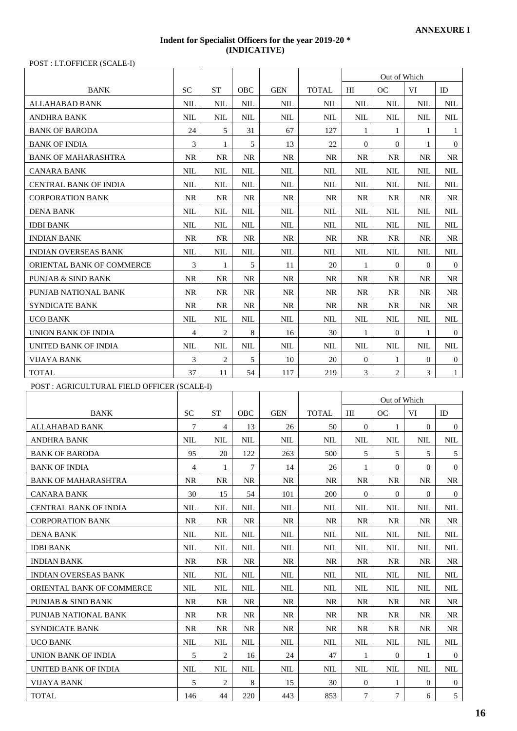## **Indent for Specialist Officers for the year 2019-20 \* (INDICATIVE)**

POST : I.T.OFFICER (SCALE-I)

| POST: I.T.OFFICER (SCALE-I)                 |                |                    |                |            |              |                                    |                                  |                   |                                   |  |
|---------------------------------------------|----------------|--------------------|----------------|------------|--------------|------------------------------------|----------------------------------|-------------------|-----------------------------------|--|
|                                             |                |                    |                |            |              |                                    | Out of Which                     |                   |                                   |  |
| <b>BANK</b>                                 | SC.            | <b>ST</b>          | OBC            | <b>GEN</b> | <b>TOTAL</b> | $_{\rm HI}$                        | <sub>OC</sub>                    | VI                | ID                                |  |
| ALLAHABAD BANK                              | <b>NIL</b>     | <b>NIL</b>         | NIL            | <b>NIL</b> | NIL          | <b>NIL</b>                         | <b>NIL</b>                       | <b>NIL</b>        | <b>NIL</b>                        |  |
| ANDHRA BANK                                 | <b>NIL</b>     | <b>NIL</b>         | <b>NIL</b>     | <b>NIL</b> | NIL          | <b>NIL</b>                         | <b>NIL</b>                       | <b>NIL</b>        | <b>NIL</b>                        |  |
| <b>BANK OF BARODA</b>                       | 24             | 5                  | 31             | 67         | 127          | 1                                  | 1                                | 1                 | 1                                 |  |
| <b>BANK OF INDIA</b>                        | 3              | 1                  | 5              | 13         | 22           | $\overline{0}$                     | $\mathbf{0}$                     | 1                 | $\overline{0}$                    |  |
| <b>BANK OF MAHARASHTRA</b>                  | <b>NR</b>      | <b>NR</b>          | <b>NR</b>      | <b>NR</b>  | <b>NR</b>    | <b>NR</b>                          | NR.                              | NR                | NR.                               |  |
| CANARA BANK                                 | NIL            | NIL                | NIL            | NIL        | NIL          | NIL                                | NIL                              | NIL               | NIL                               |  |
| <b>CENTRAL BANK OF INDIA</b>                | <b>NIL</b>     | <b>NIL</b>         | <b>NIL</b>     | <b>NIL</b> | NIL          | NIL                                | NIL                              | NIL               | NIL                               |  |
| <b>CORPORATION BANK</b>                     | <b>NR</b>      | <b>NR</b>          | <b>NR</b>      | <b>NR</b>  | <b>NR</b>    | <b>NR</b>                          | <b>NR</b>                        | <b>NR</b>         | NR.                               |  |
| <b>DENA BANK</b>                            | NIL            | NIL                | NIL            | NIL        | NIL          | NIL                                | NIL                              | NIL               | NIL                               |  |
| <b>IDBI BANK</b>                            | <b>NIL</b>     | <b>NIL</b>         | <b>NIL</b>     | <b>NIL</b> | <b>NIL</b>   | <b>NIL</b>                         | NIL                              | NIL               | NIL                               |  |
| <b>INDIAN BANK</b>                          | <b>NR</b>      | NR.                | NR.            | NR.        | NR.          | NR.                                | NR.                              | <b>NR</b>         | NR.                               |  |
| <b>INDIAN OVERSEAS BANK</b>                 | <b>NIL</b>     | <b>NIL</b>         | <b>NIL</b>     | <b>NIL</b> | <b>NIL</b>   | NIL                                | NIL                              | <b>NIL</b>        | <b>NIL</b>                        |  |
| ORIENTAL BANK OF COMMERCE                   | 3              | 1                  | 5              | 11         | 20           | 1                                  | $\overline{0}$                   | $\mathbf{0}$      | $\mathbf{0}$                      |  |
| <b>PUNJAB &amp; SIND BANK</b>               | NR             | <b>NR</b>          | NR             | <b>NR</b>  | NR.          | <b>NR</b>                          | NR.                              | NR                | NR                                |  |
| PUNJAB NATIONAL BANK                        | NR.            | <b>NR</b>          | <b>NR</b>      | <b>NR</b>  | NR.          | <b>NR</b>                          | NR.                              | NR                | NR.                               |  |
| <b>SYNDICATE BANK</b>                       | NR             | NR.                | NR             | NR.        | NR.          | NR.                                | NR.                              | NR                | NR.                               |  |
| <b>UCO BANK</b>                             | <b>NIL</b>     | <b>NIL</b>         | <b>NIL</b>     | <b>NIL</b> | <b>NIL</b>   | <b>NIL</b>                         | <b>NIL</b>                       | NIL               | NIL                               |  |
| UNION BANK OF INDIA                         | $\overline{4}$ | 2                  | 8              | 16         | 30           | 1                                  | $\overline{0}$                   | 1                 | $\overline{0}$                    |  |
| UNITED BANK OF INDIA                        | <b>NIL</b>     | <b>NIL</b>         | <b>NIL</b>     | <b>NIL</b> | NIL          | <b>NIL</b>                         | <b>NIL</b>                       | <b>NIL</b>        | <b>NIL</b>                        |  |
| <b>VIJAYA BANK</b>                          | 3              | $\overline{2}$     | $\mathfrak{S}$ | 10         | 20           | $\overline{0}$                     | 1                                | $\boldsymbol{0}$  | $\overline{0}$                    |  |
| <b>TOTAL</b>                                | 37             | 11                 | 54             | 117        | 219          | 3                                  | $\mathbf{2}$                     | 3                 | $\mathbf{1}$                      |  |
| POST : AGRICULTURAL FIELD OFFICER (SCALE-I) |                |                    |                |            |              |                                    |                                  |                   |                                   |  |
|                                             |                |                    |                |            |              |                                    |                                  |                   |                                   |  |
|                                             |                |                    |                |            |              |                                    |                                  |                   |                                   |  |
|                                             |                |                    |                |            |              |                                    | Out of Which                     |                   |                                   |  |
| <b>BANK</b>                                 | <b>SC</b>      | <b>ST</b>          | OBC            | <b>GEN</b> | <b>TOTAL</b> | $_{\rm HI}$                        | OC                               | VI                | ID                                |  |
| ALLAHABAD BANK                              | 7              | 4                  | 13             | 26         | 50           | $\overline{0}$                     | 1                                | $\mathbf{0}$      | $\mathbf{0}$                      |  |
| <b>ANDHRA BANK</b>                          | NIL            | <b>NIL</b>         | NIL            | <b>NIL</b> | NIL          | <b>NIL</b>                         | <b>NIL</b>                       | NIL               | <b>NIL</b>                        |  |
| <b>BANK OF BARODA</b>                       | 95             | 20                 | 122            | 263        | 500          | 5                                  | 5                                | 5                 | 5                                 |  |
| <b>BANK OF INDIA</b>                        | 4              | 1                  | 7              | 14         | 26           | 1                                  | $\mathbf{0}$                     | $\mathbf{0}$      | $\overline{0}$                    |  |
| <b>BANK OF MAHARASHTRA</b>                  | <b>NR</b>      | <b>NR</b>          | <b>NR</b>      | <b>NR</b>  | NR.          | <b>NR</b>                          | <b>NR</b>                        | <b>NR</b>         | <b>NR</b>                         |  |
| <b>CANARA BANK</b>                          | 30             | 15                 | 54             | 101        | 200          | $\overline{0}$                     | $\overline{0}$                   | $\mathbf{0}$      | $\overline{0}$                    |  |
| <b>CENTRAL BANK OF INDIA</b>                | NIL            | NIL                | <b>NIL</b>     | <b>NIL</b> | <b>NIL</b>   | NIL                                | NIL                              | NIL               | NIL                               |  |
| <b>CORPORATION BANK</b>                     | <b>NR</b>      | <b>NR</b>          | <b>NR</b>      | <b>NR</b>  | <b>NR</b>    | <b>NR</b>                          | <b>NR</b>                        | <b>NR</b>         | <b>NR</b>                         |  |
| <b>DENA BANK</b>                            | <b>NIL</b>     | <b>NIL</b>         | NIL            | NIL        | NIL          | NIL                                | NIL                              | NIL               | NIL                               |  |
| <b>IDBI BANK</b>                            | <b>NIL</b>     | <b>NIL</b>         | <b>NIL</b>     | <b>NIL</b> | NIL          | <b>NIL</b>                         | NIL                              | NIL               | NIL                               |  |
| <b>INDIAN BANK</b>                          | <b>NR</b>      | NR.                | NR.            | <b>NR</b>  | <b>NR</b>    | NR.                                | <b>NR</b>                        | <b>NR</b>         | NR.                               |  |
| <b>INDIAN OVERSEAS BANK</b>                 | <b>NIL</b>     | NIL                | NIL            | <b>NIL</b> | <b>NIL</b>   | <b>NIL</b>                         | <b>NIL</b>                       | NIL               | <b>NIL</b>                        |  |
| ORIENTAL BANK OF COMMERCE                   | <b>NIL</b>     | <b>NIL</b>         | <b>NIL</b>     | NIL        | <b>NIL</b>   | <b>NIL</b>                         | <b>NIL</b>                       | <b>NIL</b>        | <b>NIL</b>                        |  |
| <b>PUNJAB &amp; SIND BANK</b>               | <b>NR</b>      | <b>NR</b>          | <b>NR</b>      | <b>NR</b>  | <b>NR</b>    | <b>NR</b>                          | NR.                              | <b>NR</b>         | NR.                               |  |
| PUNJAB NATIONAL BANK                        | <b>NR</b>      | <b>NR</b>          | NR             | NR         | <b>NR</b>    | <b>NR</b>                          | <b>NR</b>                        | NR.               | <b>NR</b>                         |  |
| <b>SYNDICATE BANK</b>                       | <b>NR</b>      | <b>NR</b>          | NR.            | <b>NR</b>  | <b>NR</b>    | <b>NR</b>                          | <b>NR</b>                        | <b>NR</b>         | NR.                               |  |
| <b>UCO BANK</b>                             | <b>NIL</b>     | <b>NIL</b>         | <b>NIL</b>     | <b>NIL</b> | <b>NIL</b>   | <b>NIL</b>                         | <b>NIL</b>                       | <b>NIL</b>        | $\text{NIL}$                      |  |
| <b>UNION BANK OF INDIA</b>                  | 5              | 2                  | 16             | 24         | 47           | 1                                  | $\mathbf{0}$                     | 1                 | $\overline{0}$                    |  |
| UNITED BANK OF INDIA                        | <b>NIL</b>     | <b>NIL</b>         | $\mbox{NIL}$   | NIL        | <b>NIL</b>   | NIL                                | <b>NIL</b>                       | <b>NIL</b>        | <b>NIL</b>                        |  |
| <b>VIJAYA BANK</b><br><b>TOTAL</b>          | 5<br>146       | $\mathbf{2}$<br>44 | $\,8\,$<br>220 | 15<br>443  | 30<br>853    | $\overline{0}$<br>$\boldsymbol{7}$ | $\mathbf{1}$<br>$\boldsymbol{7}$ | $\mathbf{0}$<br>6 | $\overline{0}$<br>$5\overline{)}$ |  |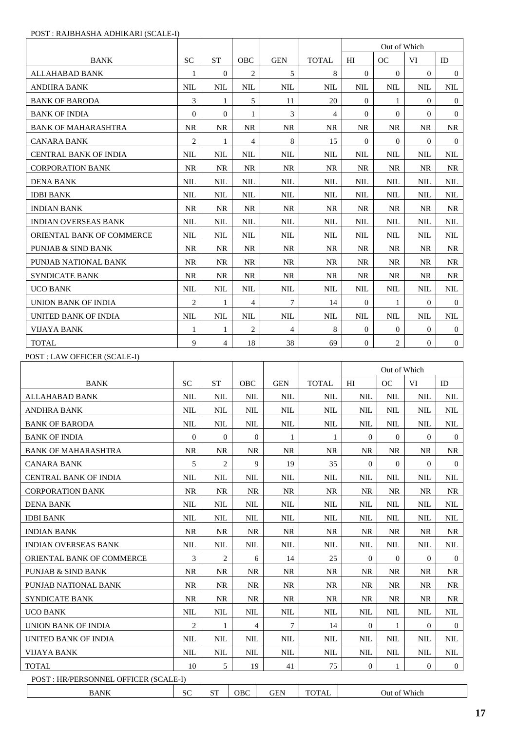|                                                            |                |                |                  |              |              | Out of Which<br>OC<br>H<br>VI |                  |                |                  |
|------------------------------------------------------------|----------------|----------------|------------------|--------------|--------------|-------------------------------|------------------|----------------|------------------|
| <b>BANK</b>                                                | <b>SC</b>      | <b>ST</b>      | OBC              | <b>GEN</b>   | <b>TOTAL</b> |                               |                  |                | ID               |
| <b>ALLAHABAD BANK</b>                                      | 1              | $\theta$       | 2                | 5            | 8            | $\Omega$                      | $\Omega$         | $\theta$       | $\theta$         |
| ANDHRA BANK                                                | <b>NIL</b>     | <b>NIL</b>     | NIL              | <b>NIL</b>   | <b>NIL</b>   | <b>NIL</b>                    | NIL              | <b>NIL</b>     | NIL              |
| <b>BANK OF BARODA</b>                                      | 3              | 1              | 5                | 11           | 20           | $\Omega$                      | 1                | $\overline{0}$ | $\mathbf{0}$     |
| <b>BANK OF INDIA</b>                                       | $\overline{0}$ | $\overline{0}$ | 1                | 3            | 4            | $\overline{0}$                | $\Omega$         | $\Omega$       | $\mathbf{0}$     |
| <b>BANK OF MAHARASHTRA</b>                                 | <b>NR</b>      | <b>NR</b>      | NR               | <b>NR</b>    | NR           | <b>NR</b>                     | NR               | <b>NR</b>      | NR               |
| CANARA BANK                                                | $\overline{c}$ | 1              | $\overline{4}$   | 8            | 15           | $\Omega$                      | $\Omega$         | $\Omega$       | $\Omega$         |
| CENTRAL BANK OF INDIA                                      | <b>NIL</b>     | <b>NIL</b>     | <b>NIL</b>       | <b>NIL</b>   | <b>NIL</b>   | <b>NIL</b>                    | <b>NIL</b>       | <b>NIL</b>     | <b>NIL</b>       |
| <b>CORPORATION BANK</b>                                    | <b>NR</b>      | <b>NR</b>      | NR               | NR           | NR           | NR                            | NR               | NR             | NR.              |
| DENA BANK                                                  | <b>NIL</b>     | <b>NIL</b>     | <b>NIL</b>       | <b>NIL</b>   | <b>NIL</b>   | NIL                           | <b>NIL</b>       | <b>NIL</b>     | <b>NIL</b>       |
| <b>IDBI BANK</b>                                           | <b>NIL</b>     | <b>NIL</b>     | NIL              | NIL          | NIL          | NIL                           | NIL              | NIL            | NIL              |
| <b>INDIAN BANK</b>                                         | <b>NR</b>      | <b>NR</b>      | NR               | <b>NR</b>    | <b>NR</b>    | NR                            | NR.              | NR.            | NR.              |
| <b>INDIAN OVERSEAS BANK</b>                                | <b>NIL</b>     | <b>NIL</b>     | <b>NIL</b>       | <b>NIL</b>   | NIL          | <b>NIL</b>                    | NIL              | <b>NIL</b>     | <b>NIL</b>       |
| ORIENTAL BANK OF COMMERCE                                  | <b>NIL</b>     | NIL            | <b>NIL</b>       | <b>NIL</b>   | NIL          | NIL                           | NIL              | <b>NIL</b>     | NIL              |
| <b>PUNJAB &amp; SIND BANK</b>                              | <b>NR</b>      | <b>NR</b>      | <b>NR</b>        | <b>NR</b>    | <b>NR</b>    | <b>NR</b>                     | <b>NR</b>        | NR.            | NR.              |
| PUNJAB NATIONAL BANK                                       | NR             | NR             | NR               | NR           | NR           | NR                            | NR               | NR             | NR               |
| <b>SYNDICATE BANK</b>                                      | NR.            | <b>NR</b>      | NR.              | NR.          | NR.          | NR.                           | NR.              | NR.            | NR               |
| UCO BANK                                                   | <b>NIL</b>     | <b>NIL</b>     | NIL              | NIL          | NIL          | <b>NIL</b>                    | NIL              | <b>NIL</b>     | NIL              |
| UNION BANK OF INDIA                                        | $\overline{c}$ | 1              | 4                | 7            | 14           | $\theta$                      | 1                | $\overline{0}$ | $\theta$         |
| UNITED BANK OF INDIA                                       | <b>NIL</b>     | <b>NIL</b>     | NIL              | <b>NIL</b>   | <b>NIL</b>   | <b>NIL</b>                    | NIL              | <b>NIL</b>     | <b>NIL</b>       |
| <b>VIJAYA BANK</b>                                         | 1              | 1              | 2                | 4            | 8            | $\theta$                      | $\theta$         | 0              | $\mathbf{0}$     |
| <b>TOTAL</b>                                               | 9              | 4              | 18               | 38           | 69           | $\overline{0}$                | 2                | $\overline{0}$ | $\overline{0}$   |
| POST : LAW OFFICER (SCALE-I)                               |                |                |                  |              |              |                               |                  |                |                  |
|                                                            |                |                |                  |              |              |                               |                  |                |                  |
|                                                            |                |                |                  |              |              |                               | Out of Which     |                |                  |
| <b>BANK</b>                                                | <b>SC</b>      | <b>ST</b>      | OBC              | <b>GEN</b>   | <b>TOTAL</b> | HI                            | OC               | VI             | ID               |
| ALLAHABAD BANK                                             | NIL            | NIL            | NIL              | NIL          | NIL          | NIL                           | NIL              | NIL            | NIL              |
| <b>ANDHRA BANK</b>                                         | <b>NIL</b>     | <b>NIL</b>     | <b>NIL</b>       | <b>NIL</b>   | <b>NIL</b>   | <b>NIL</b>                    | <b>NIL</b>       | <b>NIL</b>     | NIL              |
| <b>BANK OF BARODA</b>                                      | NIL            | <b>NIL</b>     | <b>NIL</b>       | <b>NIL</b>   | NIL          | NIL                           | <b>NIL</b>       | NIL            | NIL              |
| <b>BANK OF INDIA</b>                                       | $\overline{0}$ | $\overline{0}$ | $\boldsymbol{0}$ | $\mathbf{1}$ | 1            | $\mathbf{0}$                  | $\overline{0}$   | $\overline{0}$ | $\theta$         |
| <b>BANK OF MAHARASHTRA</b>                                 | <b>NR</b>      | <b>NR</b>      | <b>NR</b>        | NR           | <b>NR</b>    | <b>NR</b>                     | <b>NR</b>        | <b>NR</b>      | <b>NR</b>        |
| <b>CANARA BANK</b>                                         | 5              | 2              | 9                | 19           | 35           | 0                             | $\boldsymbol{0}$ | $\theta$       | $\bf{0}$         |
| <b>CENTRAL BANK OF INDIA</b>                               | NIL            | NIL            | <b>NIL</b>       | NIL          | NIL          | NIL                           | NIL              | NIL            | NIL              |
| <b>CORPORATION BANK</b>                                    | NR             | NR             | NR               | NR           | NR           | NR                            | <b>NR</b>        | NR             | NR               |
| <b>DENA BANK</b>                                           | <b>NIL</b>     | <b>NIL</b>     | <b>NIL</b>       | NIL          | NIL          | NIL                           | NIL              | NIL            | NIL              |
| <b>IDBI BANK</b>                                           | NIL            | NIL            | NIL              | NIL          | NIL          | NIL                           | NIL              | NIL            | NIL              |
| <b>INDIAN BANK</b>                                         | NR             | NR             | NR               | NR           | NR           | NR                            | NR               | NR             | NR               |
| <b>INDIAN OVERSEAS BANK</b>                                | <b>NIL</b>     | <b>NIL</b>     | <b>NIL</b>       | <b>NIL</b>   | <b>NIL</b>   | <b>NIL</b>                    | <b>NIL</b>       | <b>NIL</b>     | NIL              |
| ORIENTAL BANK OF COMMERCE                                  | 3              | 2              | 6                | 14           | 25           | 0                             | 0                | 0              | $\boldsymbol{0}$ |
| <b>PUNJAB &amp; SIND BANK</b>                              | NR             | <b>NR</b>      | NR               | NR           | <b>NR</b>    | NR                            | NR               | NR             | NR               |
| PUNJAB NATIONAL BANK                                       | <b>NR</b>      | <b>NR</b>      | <b>NR</b>        | NR           | <b>NR</b>    | <b>NR</b>                     | <b>NR</b>        | <b>NR</b>      | NR.              |
| <b>SYNDICATE BANK</b>                                      | NR             | NR             | NR.              | NR           | NR           | NR                            | NR               | NR.            | NR.              |
| <b>UCO BANK</b>                                            | NIL            | <b>NIL</b>     | NIL              | NIL          | NIL          | NIL                           | NIL              | NIL            | NIL              |
| UNION BANK OF INDIA                                        | 2              | 1              | 4                | 7            | 14           | $\boldsymbol{0}$              | 1                | 0              | $\overline{0}$   |
|                                                            | NIL            | NIL            | <b>NIL</b>       | <b>NIL</b>   | NIL          | NIL                           | NIL              | NIL            | NIL              |
|                                                            | <b>NIL</b>     | <b>NIL</b>     | NIL              | NIL          | NIL          | NIL                           | <b>NIL</b>       | NIL            | NIL              |
| UNITED BANK OF INDIA<br><b>VIJAYA BANK</b><br><b>TOTAL</b> | 10             | 5              | 19               | 41           | 75           | $\mathbf{0}$                  | 1                | $\overline{0}$ | $\overline{0}$   |
| POST : HR/PERSONNEL OFFICER (SCALE-I)                      |                |                |                  |              |              |                               |                  |                |                  |

## POST : RAJBHASHA ADHIKARI (SCALE-I)